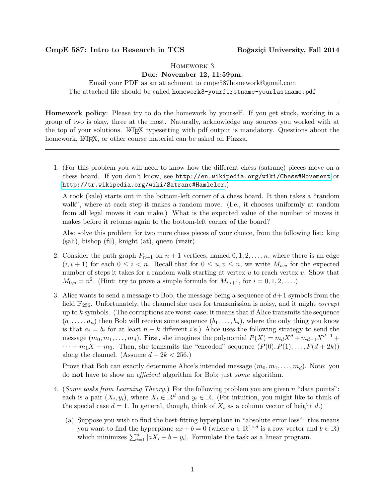## CmpE 587: Intro to Research in TCS Boğaziçi University, Fall 2014

## Homework 3

## Due: November 12, 11:59pm.

Email your PDF as an attachment to cmpe587homework@gmail.com The attached file should be called homework3-yourfirstname-yourlastname.pdf

Homework policy: Please try to do the homework by yourself. If you get stuck, working in a group of two is okay, three at the most. Naturally, acknowledge any sources you worked with at the top of your solutions. LATEX typesetting with pdf output is mandatory. Questions about the homework, LAT<sub>EX</sub>, or other course material can be asked on Piazza.

1. (For this problem you will need to know how the different chess (satranç) pieces move on a chess board. If you don't know, see <http://en.wikipedia.org/wiki/Chess#Movement> or <http://tr.wikipedia.org/wiki/Satranc#Hamleler>.)

A rook (kale) starts out in the bottom-left corner of a chess board. It then takes a "random walk", where at each step it makes a random move. (I.e., it chooses uniformly at random from all legal moves it can make.) What is the expected value of the number of moves it makes before it returns again to the bottom-left corner of the board?

Also solve this problem for two more chess pieces of your choice, from the following list: king  $(sah)$ , bishop (fil), knight  $(at)$ , queen (vezir).

- 2. Consider the path graph  $P_{n+1}$  on  $n+1$  vertices, named  $0, 1, 2, \ldots, n$ , where there is an edge  $(i, i + 1)$  for each  $0 \leq i < n$ . Recall that for  $0 \leq u, v \leq n$ , we write  $M_{u,v}$  for the expected number of steps it takes for a random walk starting at vertex  $u$  to reach vertex  $v$ . Show that  $M_{0,n} = n^2$ . (Hint: try to prove a simple formula for  $M_{i,i+1}$ , for  $i = 0, 1, 2, \ldots$ .)
- 3. Alice wants to send a message to Bob, the message being a sequence of  $d+1$  symbols from the field  $\mathbb{F}_{256}$ . Unfortunately, the channel she uses for transmission is noisy, and it might *corrupt* up to k symbols. (The corruptions are worst-case; it means that if Alice transmits the sequence  $(a_1, \ldots, a_n)$  then Bob will receive some sequence  $(b_1, \ldots, b_n)$ , where the only thing you know is that  $a_i = b_i$  for at least  $n - k$  different is.) Alice uses the following strategy to send the message  $(m_0, m_1, \ldots, m_d)$ . First, she imagines the polynomial  $P(X) = m_d X^d + m_{d-1} X^{d-1} +$  $\cdots + m_1X + m_0$ . Then, she transmits the "encoded" sequence  $(P(0), P(1), \ldots, P(d+2k))$ along the channel. (Assume  $d + 2k < 256$ .)

Prove that Bob can exactly determine Alice's intended message  $(m_0, m_1, \ldots, m_d)$ . Note: you do not have to show an efficient algorithm for Bob; just some algorithm.

- 4. (Some tasks from Learning Theory.) For the following problem you are given n "data points": each is a pair  $(X_i, y_i)$ , where  $X_i \in \mathbb{R}^d$  and  $y_i \in \mathbb{R}$ . (For intuition, you might like to think of the special case  $d = 1$ . In general, though, think of  $X_i$  as a column vector of height d.)
	- (a) Suppose you wish to find the best-fitting hyperplane in "absolute error loss": this means you want to find the hyperplane  $ax + b = 0$  (where  $a \in \mathbb{R}^{1 \times d}$  is a row vector and  $b \in \mathbb{R}$ ) which minimizes  $\sum_{i=1}^{n} |aX_i + b - y_i|$ . Formulate the task as a linear program.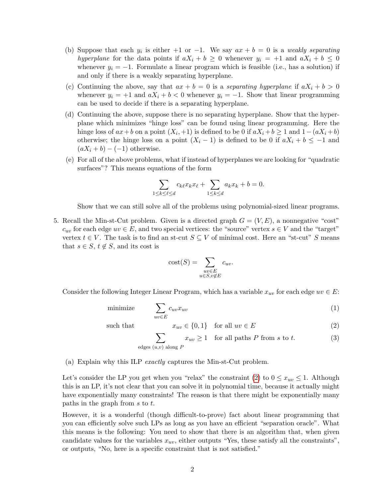- (b) Suppose that each  $y_i$  is either  $+1$  or  $-1$ . We say  $ax + b = 0$  is a weakly separating hyperplane for the data points if  $aX_i + b \geq 0$  whenever  $y_i = +1$  and  $aX_i + b \leq 0$ whenever  $y_i = -1$ . Formulate a linear program which is feasible (i.e., has a solution) if and only if there is a weakly separating hyperplane.
- (c) Continuing the above, say that  $ax + b = 0$  is a separating hyperplane if  $aX_i + b > 0$ whenever  $y_i = +1$  and  $aX_i + b < 0$  whenever  $y_i = -1$ . Show that linear programming can be used to decide if there is a separating hyperplane.
- (d) Continuing the above, suppose there is no separating hyperplane. Show that the hyperplane which minimizes "hinge loss" can be found using linear programming. Here the hinge loss of  $ax + b$  on a point  $(X_i, +1)$  is defined to be 0 if  $aX_i + b \ge 1$  and  $1 - (aX_i + b)$ otherwise; the hinge loss on a point  $(X_i - 1)$  is defined to be 0 if  $aX_i + b \le -1$  and  $(aX_i + b) - (-1)$  otherwise.
- (e) For all of the above problems, what if instead of hyperplanes we are looking for "quadratic surfaces"? This means equations of the form

$$
\sum_{1 \le k \le \ell \le d} c_{k\ell} x_k x_{\ell} + \sum_{1 \le k \le d} a_k x_k + b = 0.
$$

Show that we can still solve all of the problems using polynomial-sized linear programs.

5. Recall the Min-st-Cut problem. Given is a directed graph  $G = (V, E)$ , a nonnegative "cost"  $c_{uv}$  for each edge  $uv \in E$ , and two special vertices: the "source" vertex  $s \in V$  and the "target" vertex  $t \in V$ . The task is to find an st-cut  $S \subseteq V$  of minimal cost. Here an "st-cut" S means that  $s \in S$ ,  $t \notin S$ , and its cost is

<span id="page-1-1"></span><span id="page-1-0"></span>
$$
cost(S) = \sum_{\substack{uv \in E \\ u \in S, v \notin E}} c_{uv}.
$$

Consider the following Integer Linear Program, which has a variable  $x_{uv}$  for each edge  $uv \in E$ :

$$
\text{minimize} \qquad \sum_{uv \in E} c_{uv} x_{uv} \tag{1}
$$

such that 
$$
x_{uv} \in \{0, 1\}
$$
 for all  $uv \in E$  (2)

$$
\sum_{\text{edges } (u,v) \text{ along } P} x_{uv} \ge 1 \quad \text{for all paths } P \text{ from } s \text{ to } t. \tag{3}
$$

(a) Explain why this ILP exactly captures the Min-st-Cut problem.

Let's consider the LP you get when you "relax" the constraint [\(2\)](#page-1-0) to  $0 \leq x_{uv} \leq 1$ . Although this is an LP, it's not clear that you can solve it in polynomial time, because it actually might have exponentially many constraints! The reason is that there might be exponentially many paths in the graph from s to t.

However, it is a wonderful (though difficult-to-prove) fact about linear programming that you can efficiently solve such LPs as long as you have an efficient "separation oracle". What this means is the following: You need to show that there is an algorithm that, when given candidate values for the variables  $x_{uv}$ , either outputs "Yes, these satisfy all the constraints", or outputs, "No, here is a specific constraint that is not satisfied."